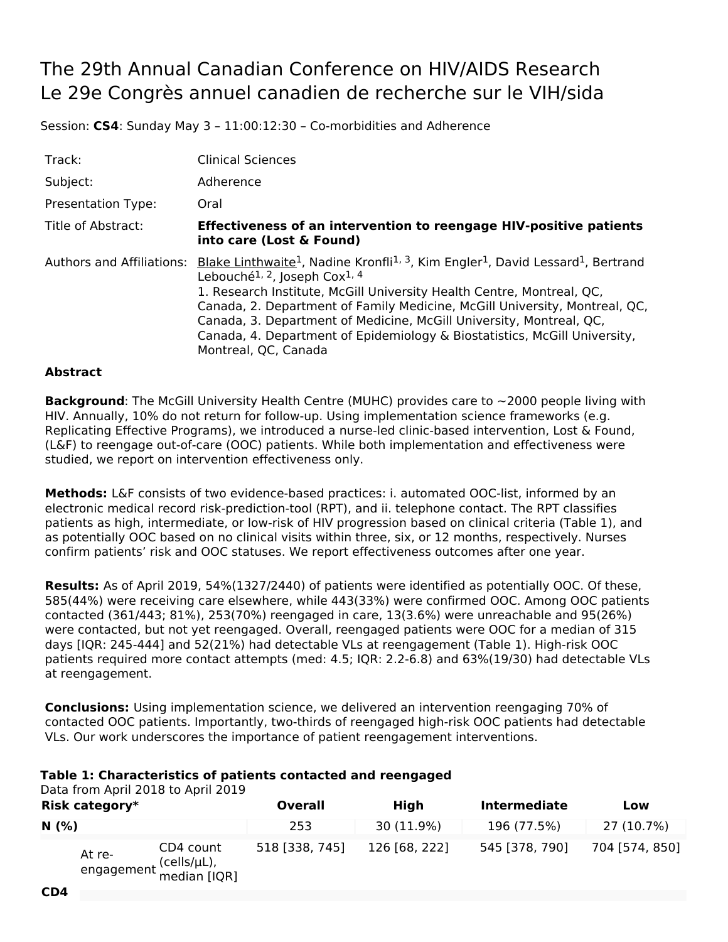## The 29th Annual Canadian Conference on HIV/AIDS Research Le 29e Congrès annuel canadien de recherche sur le VIH/sida

Session: **CS4**: Sunday May 3 – 11:00:12:30 – Co-morbidities and Adherence

| Track:                    | <b>Clinical Sciences</b>                                                                                                                                                                                                                                                                                                                                                                                                                                                                                                     |
|---------------------------|------------------------------------------------------------------------------------------------------------------------------------------------------------------------------------------------------------------------------------------------------------------------------------------------------------------------------------------------------------------------------------------------------------------------------------------------------------------------------------------------------------------------------|
| Subject:                  | Adherence                                                                                                                                                                                                                                                                                                                                                                                                                                                                                                                    |
| <b>Presentation Type:</b> | Oral                                                                                                                                                                                                                                                                                                                                                                                                                                                                                                                         |
| Title of Abstract:        | <b>Effectiveness of an intervention to reengage HIV-positive patients</b><br>into care (Lost & Found)                                                                                                                                                                                                                                                                                                                                                                                                                        |
| Authors and Affiliations: | Blake Linthwaite <sup>1</sup> , Nadine Kronfli <sup>1, 3</sup> , Kim Engler <sup>1</sup> , David Lessard <sup>1</sup> , Bertrand<br>Lebouché <sup>1, 2</sup> , Joseph Cox <sup>1, 4</sup><br>1. Research Institute, McGill University Health Centre, Montreal, QC,<br>Canada, 2. Department of Family Medicine, McGill University, Montreal, QC,<br>Canada, 3. Department of Medicine, McGill University, Montreal, QC,<br>Canada, 4. Department of Epidemiology & Biostatistics, McGill University,<br>Montreal, QC, Canada |

## **Abstract**

**Background**: The McGill University Health Centre (MUHC) provides care to ~2000 people living with HIV. Annually, 10% do not return for follow-up. Using implementation science frameworks (e.g. Replicating Effective Programs), we introduced a nurse-led clinic-based intervention, Lost & Found, (L&F) to reengage out-of-care (OOC) patients. While both implementation and effectiveness were studied, we report on intervention effectiveness only.

**Methods:** L&F consists of two evidence-based practices: i. automated OOC-list, informed by an electronic medical record risk-prediction-tool (RPT), and ii. telephone contact. The RPT classifies patients as high, intermediate, or low-risk of HIV progression based on clinical criteria (Table 1), and as potentially OOC based on no clinical visits within three, six, or 12 months, respectively. Nurses confirm patients' risk and OOC statuses. We report effectiveness outcomes after one year.

**Results:** As of April 2019, 54%(1327/2440) of patients were identified as potentially OOC. Of these, 585(44%) were receiving care elsewhere, while 443(33%) were confirmed OOC. Among OOC patients contacted (361/443; 81%), 253(70%) reengaged in care, 13(3.6%) were unreachable and 95(26%) were contacted, but not yet reengaged. Overall, reengaged patients were OOC for a median of 315 days [IQR: 245-444] and 52(21%) had detectable VLs at reengagement (Table 1). High-risk OOC patients required more contact attempts (med: 4.5; IQR: 2.2-6.8) and 63%(19/30) had detectable VLs at reengagement.

**Conclusions:** Using implementation science, we delivered an intervention reengaging 70% of contacted OOC patients. Importantly, two-thirds of reengaged high-risk OOC patients had detectable VLs. Our work underscores the importance of patient reengagement interventions.

## **Table 1: Characteristics of patients contacted and reengaged**

Data from April 2018 to April 2019

| Risk category* |                                                               | <b>Overall</b> | High          | <b>Intermediate</b> | Low            |
|----------------|---------------------------------------------------------------|----------------|---------------|---------------------|----------------|
| N(% )          |                                                               | 253            | 30 (11.9%)    | 196 (77.5%)         | 27 (10.7%)     |
|                | CD4 count<br>At re-<br>engagement (cells/µL),<br>median [IQR] | 518 [338, 745] | 126 [68, 222] | 545 [378, 790]      | 704 [574, 850] |